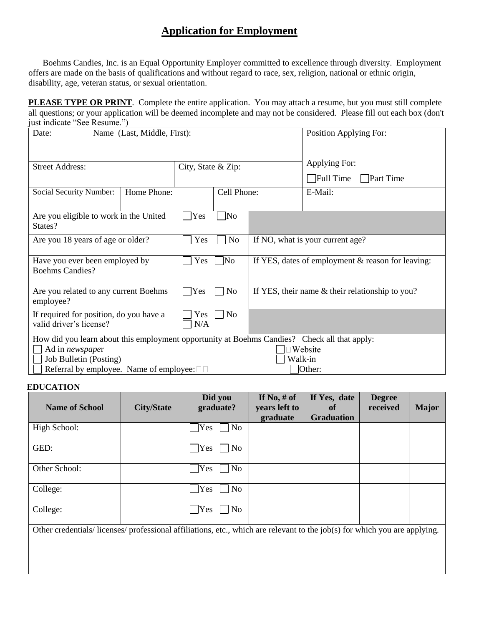## **Application for Employment**

Boehms Candies, Inc. is an Equal Opportunity Employer committed to excellence through diversity. Employment offers are made on the basis of qualifications and without regard to race, sex, religion, national or ethnic origin, disability, age, veteran status, or sexual orientation.

**PLEASE TYPE OR PRINT**. Complete the entire application. You may attach a resume, but you must still complete all questions; or your application will be deemed incomplete and may not be considered. Please fill out each box (don't just indicate "See Resume.")

| Date:                                                                                                                                                                                                                                         | Name (Last, Middle, First): |     |                     |                                                      | Position Applying For:           |                                                       |  |
|-----------------------------------------------------------------------------------------------------------------------------------------------------------------------------------------------------------------------------------------------|-----------------------------|-----|---------------------|------------------------------------------------------|----------------------------------|-------------------------------------------------------|--|
| <b>Street Address:</b>                                                                                                                                                                                                                        |                             |     | City, State & Zip:  |                                                      |                                  | Applying For:<br>$\Box$ Full Time<br><b>Part Time</b> |  |
| Home Phone:<br>Social Security Number:                                                                                                                                                                                                        |                             |     | Cell Phone:         |                                                      |                                  | E-Mail:                                               |  |
| Are you eligible to work in the United<br>States?                                                                                                                                                                                             |                             |     | Yes                 | No                                                   |                                  |                                                       |  |
| Are you 18 years of age or older?                                                                                                                                                                                                             |                             |     | Yes                 | N <sub>o</sub>                                       | If NO, what is your current age? |                                                       |  |
| Have you ever been employed by<br><b>Boehms Candies?</b>                                                                                                                                                                                      |                             | Yes | $\overline{\rm No}$ | If YES, dates of employment $\&$ reason for leaving: |                                  |                                                       |  |
| Are you related to any current Boehms<br>employee?                                                                                                                                                                                            |                             | Yes | N <sub>o</sub>      | If YES, their name $&$ their relationship to you?    |                                  |                                                       |  |
| If required for position, do you have a<br>valid driver's license?                                                                                                                                                                            |                             |     | Yes<br>N/A          | No                                                   |                                  |                                                       |  |
| How did you learn about this employment opportunity at Boehms Candies? Check all that apply:<br>Website<br>Ad in <i>newspaper</i><br>Job Bulletin (Posting)<br>Walk-in<br>Referral by employee. Name of employee: $\square \square$<br>Other: |                             |     |                     |                                                      |                                  |                                                       |  |

## **EDUCATION**

| <b>Name of School</b>                                                                                                    | <b>City/State</b> | Did you<br>graduate?  | If No, $#$ of<br>years left to<br>graduate | If Yes, date<br>of<br><b>Graduation</b> | <b>Degree</b><br>received | <b>Major</b> |
|--------------------------------------------------------------------------------------------------------------------------|-------------------|-----------------------|--------------------------------------------|-----------------------------------------|---------------------------|--------------|
| High School:                                                                                                             |                   | No<br>Yes             |                                            |                                         |                           |              |
| GED:                                                                                                                     |                   | $\gamma$<br>No        |                                            |                                         |                           |              |
| Other School:                                                                                                            |                   | $\bigcap$ Yes<br>No   |                                            |                                         |                           |              |
| College:                                                                                                                 |                   | N <sub>o</sub><br>Yes |                                            |                                         |                           |              |
| College:                                                                                                                 |                   | $\gamma$<br>No.       |                                            |                                         |                           |              |
| Other credentials/licenses/professional affiliations, etc., which are relevant to the job(s) for which you are applying. |                   |                       |                                            |                                         |                           |              |
|                                                                                                                          |                   |                       |                                            |                                         |                           |              |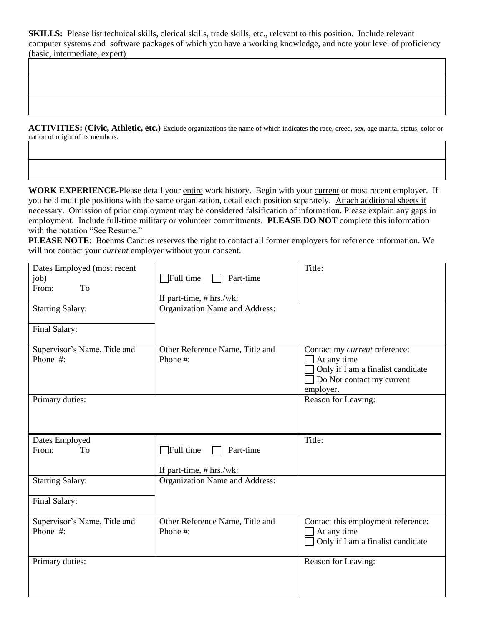**SKILLS:** Please list technical skills, clerical skills, trade skills, etc., relevant to this position. Include relevant computer systems and software packages of which you have a working knowledge, and note your level of proficiency (basic, intermediate, expert)

**ACTIVITIES: (Civic, Athletic, etc.)** Exclude organizations the name of which indicates the race, creed, sex, age marital status, color or nation of origin of its members.

**WORK EXPERIENCE-Please detail your entire work history.** Begin with your current or most recent employer. If you held multiple positions with the same organization, detail each position separately. Attach additional sheets if necessary. Omission of prior employment may be considered falsification of information. Please explain any gaps in employment. Include full-time military or volunteer commitments. **PLEASE DO NOT** complete this information with the notation "See Resume."

**PLEASE NOTE**: Boehms Candies reserves the right to contact all former employers for reference information. We will not contact your *current* employer without your consent.

| Dates Employed (most recent<br>job)<br>From:<br>To<br><b>Starting Salary:</b> | Full time<br>Part-time<br>If part-time, $# hrs./wk$ :<br>Organization Name and Address: | Title:                                                                                                                      |
|-------------------------------------------------------------------------------|-----------------------------------------------------------------------------------------|-----------------------------------------------------------------------------------------------------------------------------|
| Final Salary:                                                                 |                                                                                         |                                                                                                                             |
| Supervisor's Name, Title and<br>Phone #:                                      | Other Reference Name, Title and<br>Phone #:                                             | Contact my current reference:<br>At any time<br>Only if I am a finalist candidate<br>Do Not contact my current<br>employer. |
| Primary duties:                                                               |                                                                                         | Reason for Leaving:                                                                                                         |
|                                                                               |                                                                                         |                                                                                                                             |
| Dates Employed                                                                |                                                                                         | Title:                                                                                                                      |
| From:<br>To                                                                   | $\overline{\phantom{a}}$ Full time<br>Part-time<br>If part-time, # hrs./wk:             |                                                                                                                             |
| <b>Starting Salary:</b>                                                       | Organization Name and Address:                                                          |                                                                                                                             |
| Final Salary:                                                                 |                                                                                         |                                                                                                                             |
| Supervisor's Name, Title and<br>Phone #:                                      | Other Reference Name, Title and<br>Phone #:                                             | Contact this employment reference:<br>At any time<br>Only if I am a finalist candidate                                      |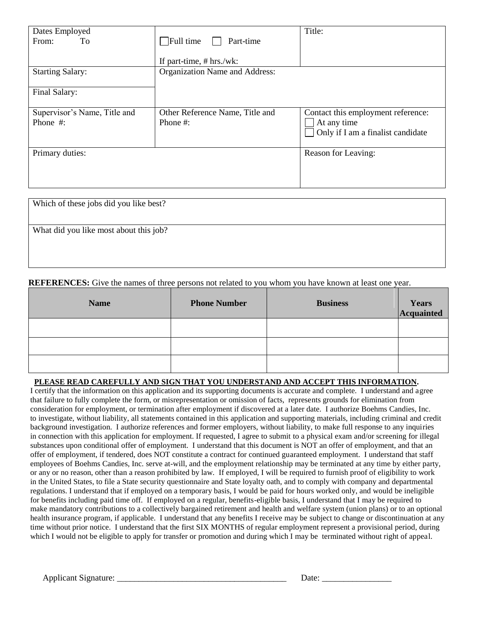| Dates Employed<br>From:<br>To            | $\Box$ Full time<br>Part-time<br>If part-time, $# hrs./wk$ : | Title:                                                                                 |
|------------------------------------------|--------------------------------------------------------------|----------------------------------------------------------------------------------------|
| <b>Starting Salary:</b>                  | Organization Name and Address:                               |                                                                                        |
| Final Salary:                            |                                                              |                                                                                        |
| Supervisor's Name, Title and<br>Phone #: | Other Reference Name, Title and<br>Phone #:                  | Contact this employment reference:<br>At any time<br>Only if I am a finalist candidate |
| Primary duties:                          |                                                              | Reason for Leaving:                                                                    |

| Which of these jobs did you like best? |  |
|----------------------------------------|--|
|                                        |  |
| What did you like most about this job? |  |
|                                        |  |
|                                        |  |

**REFERENCES:** Give the names of three persons not related to you whom you have known at least one year.

| <b>Name</b> | <b>Phone Number</b> | <b>Business</b> | Years<br>Acquainted |
|-------------|---------------------|-----------------|---------------------|
|             |                     |                 |                     |
|             |                     |                 |                     |
|             |                     |                 |                     |

## **PLEASE READ CAREFULLY AND SIGN THAT YOU UNDERSTAND AND ACCEPT THIS INFORMATION.**

 that failure to fully complete the form, or misrepresentation or omission of facts, represents grounds for elimination from consideration for employment, or termination after employment if discovered at a later date. I authorize Boehms Candies, Inc. to investigate, without liability, all statements contained in this application and supporting materials, including criminal and credit I certify that the information on this application and its supporting documents is accurate and complete. I understand and agree background investigation. I authorize references and former employers, without liability, to make full response to any inquiries in connection with this application for employment. If requested, I agree to submit to a physical exam and/or screening for illegal substances upon conditional offer of employment. I understand that this document is NOT an offer of employment, and that an offer of employment, if tendered, does NOT constitute a contract for continued guaranteed employment. I understand that staff employees of Boehms Candies, Inc. serve at-will, and the employment relationship may be terminated at any time by either party, or any or no reason, other than a reason prohibited by law. If employed, I will be required to furnish proof of eligibility to work in the United States, to file a State security questionnaire and State loyalty oath, and to comply with company and departmental regulations. I understand that if employed on a temporary basis, I would be paid for hours worked only, and would be ineligible for benefits including paid time off. If employed on a regular, benefits-eligible basis, I understand that I may be required to make mandatory contributions to a collectively bargained retirement and health and welfare system (union plans) or to an optional health insurance program, if applicable. I understand that any benefits I receive may be subject to change or discontinuation at any time without prior notice. I understand that the first SIX MONTHS of regular employment represent a provisional period, during which I would not be eligible to apply for transfer or promotion and during which I may be terminated without right of appeal.